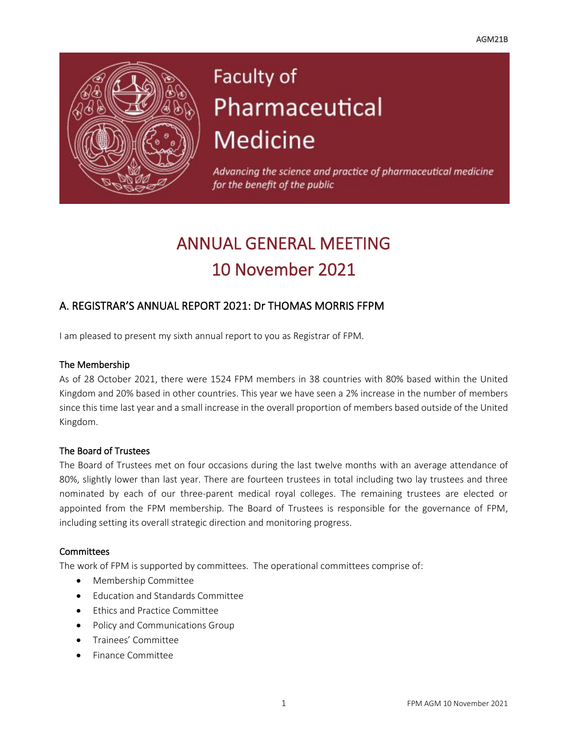$\overline{a}$ 



# Faculty of Pharmaceutical **Medicine**

Advancing the science and practice of pharmaceutical medicine for the benefit of the public

# ANNUAL GENERAL MEETING 10 November 2021

# A. REGISTRAR'S ANNUAL REPORT 2021: Dr THOMAS MORRIS FFPM

I am pleased to present my sixth annual report to you as Registrar of FPM.

#### The Membership

As of 28 October 2021, there were 1524 FPM members in 38 countries with 80% based within the United Kingdom and 20% based in other countries. This year we have seen a 2% increase in the number of members since this time last year and a small increase in the overall proportion of members based outside of the United Kingdom.

#### The Board of Trustees

The Board of Trustees met on four occasions during the last twelve months with an average attendance of 80%, slightly lower than last year. There are fourteen trustees in total including two lay trustees and three nominated by each of our three-parent medical royal colleges. The remaining trustees are elected or appointed from the FPM membership. The Board of Trustees is responsible for the governance of FPM, including setting its overall strategic direction and monitoring progress.

#### **Committees**

The work of FPM is supported by committees. The operational committees comprise of:

- Membership Committee
- Education and Standards Committee
- Ethics and Practice Committee
- Policy and Communications Group
- Trainees' Committee
- Finance Committee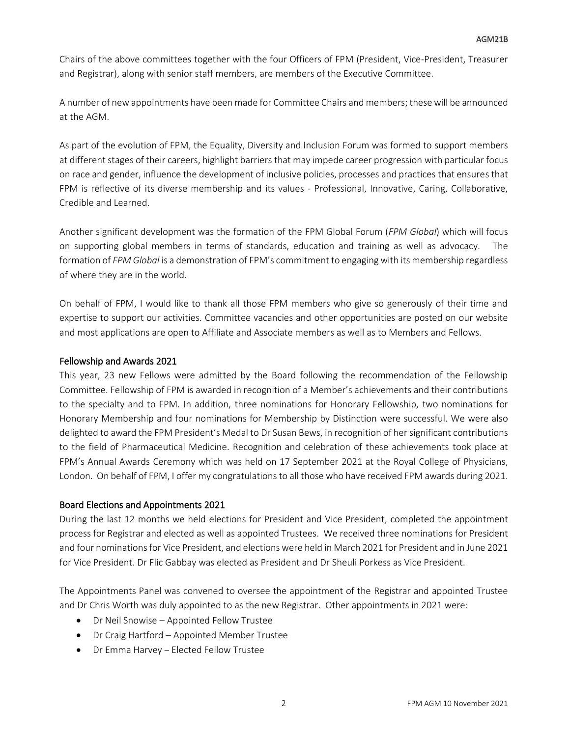Chairs of the above committees together with the four Officers of FPM (President, Vice-President, Treasurer and Registrar), along with senior staff members, are members of the Executive Committee.

A number of new appointments have been made for Committee Chairs and members; these will be announced at the AGM.

As part of the evolution of FPM, the Equality, Diversity and Inclusion Forum was formed to support members at different stages of their careers, highlight barriers that may impede career progression with particular focus on race and gender, influence the development of inclusive policies, processes and practices that ensures that FPM is reflective of its diverse membership and its values - Professional, Innovative, Caring, Collaborative, Credible and Learned.

Another significant development was the formation of the FPM Global Forum (*FPM Global*) which will focus on supporting global members in terms of standards, education and training as well as advocacy. The formation of *FPM Global* is a demonstration of FPM's commitment to engaging with its membership regardless of where they are in the world.

On behalf of FPM, I would like to thank all those FPM members who give so generously of their time and expertise to support our activities. Committee vacancies and other opportunities are posted on our website and most applications are open to Affiliate and Associate members as well as to Members and Fellows.

#### Fellowship and Awards 2021

This year, 23 new Fellows were admitted by the Board following the recommendation of the Fellowship Committee. Fellowship of FPM is awarded in recognition of a Member's achievements and their contributions to the specialty and to FPM. In addition, three nominations for Honorary Fellowship, two nominations for Honorary Membership and four nominations for Membership by Distinction were successful. We were also delighted to award the FPM President's Medal to Dr Susan Bews, in recognition of her significant contributions to the field of Pharmaceutical Medicine. Recognition and celebration of these achievements took place at FPM's Annual Awards Ceremony which was held on 17 September 2021 at the Royal College of Physicians, London. On behalf of FPM, I offer my congratulations to all those who have received FPM awards during 2021.

#### Board Elections and Appointments 2021

During the last 12 months we held elections for President and Vice President, completed the appointment process for Registrar and elected as well as appointed Trustees. We received three nominations for President and four nominations for Vice President, and elections were held in March 2021 for President and in June 2021 for Vice President. Dr Flic Gabbay was elected as President and Dr Sheuli Porkess as Vice President.

The Appointments Panel was convened to oversee the appointment of the Registrar and appointed Trustee and Dr Chris Worth was duly appointed to as the new Registrar. Other appointments in 2021 were:

- Dr Neil Snowise Appointed Fellow Trustee
- Dr Craig Hartford Appointed Member Trustee
- Dr Emma Harvey Elected Fellow Trustee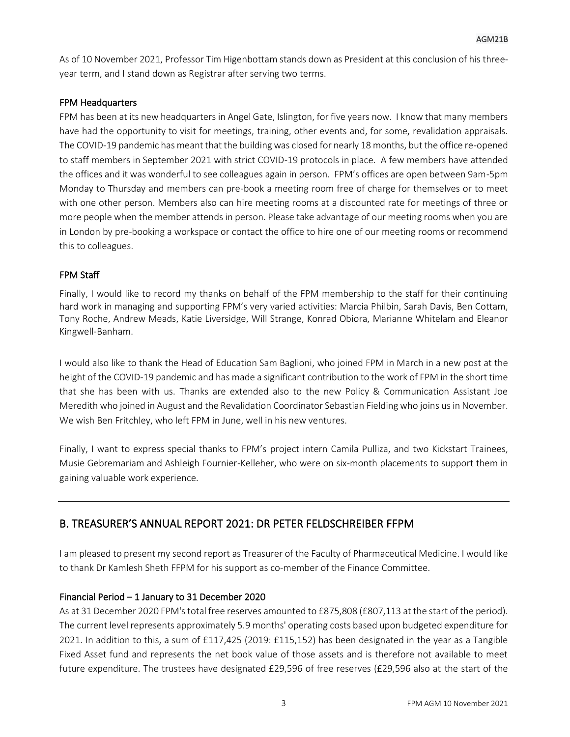As of 10 November 2021, Professor Tim Higenbottam stands down as President at this conclusion of his threeyear term, and I stand down as Registrar after serving two terms.

#### FPM Headquarters

FPM has been at its new headquarters in Angel Gate, Islington, for five years now. I know that many members have had the opportunity to visit for meetings, training, other events and, for some, revalidation appraisals. The COVID-19 pandemic has meant that the building was closed for nearly 18 months, but the office re-opened to staff members in September 2021 with strict COVID-19 protocols in place. A few members have attended the offices and it was wonderful to see colleagues again in person. FPM's offices are open between 9am-5pm Monday to Thursday and members can pre-book a meeting room free of charge for themselves or to meet with one other person. Members also can hire meeting rooms at a discounted rate for meetings of three or more people when the member attends in person. Please take advantage of our meeting rooms when you are in London by pre-booking a workspace or contact the office to hire one of our meeting rooms or recommend this to colleagues.

#### FPM Staff

Finally, I would like to record my thanks on behalf of the FPM membership to the staff for their continuing hard work in managing and supporting FPM's very varied activities: Marcia Philbin, Sarah Davis, Ben Cottam, Tony Roche, Andrew Meads, Katie Liversidge, Will Strange, Konrad Obiora, Marianne Whitelam and Eleanor Kingwell-Banham.

I would also like to thank the Head of Education Sam Baglioni, who joined FPM in March in a new post at the height of the COVID-19 pandemic and has made a significant contribution to the work of FPM in the short time that she has been with us. Thanks are extended also to the new Policy & Communication Assistant Joe Meredith who joined in August and the Revalidation Coordinator Sebastian Fielding who joins usin November. We wish Ben Fritchley, who left FPM in June, well in his new ventures.

Finally, I want to express special thanks to FPM's project intern Camila Pulliza, and two Kickstart Trainees, Musie Gebremariam and Ashleigh Fournier-Kelleher, who were on six-month placements to support them in gaining valuable work experience.

### B. TREASURER'S ANNUAL REPORT 2021: DR PETER FELDSCHREIBER FFPM

I am pleased to present my second report as Treasurer of the Faculty of Pharmaceutical Medicine. I would like to thank Dr Kamlesh Sheth FFPM for his support as co-member of the Finance Committee.

#### Financial Period – 1 January to 31 December 2020

As at 31 December 2020 FPM's total free reserves amounted to £875,808 (£807,113 at the start of the period). The current level represents approximately 5.9 months' operating costs based upon budgeted expenditure for 2021. In addition to this, a sum of £117,425 (2019: £115,152) has been designated in the year as a Tangible Fixed Asset fund and represents the net book value of those assets and is therefore not available to meet future expenditure. The trustees have designated £29,596 of free reserves (£29,596 also at the start of the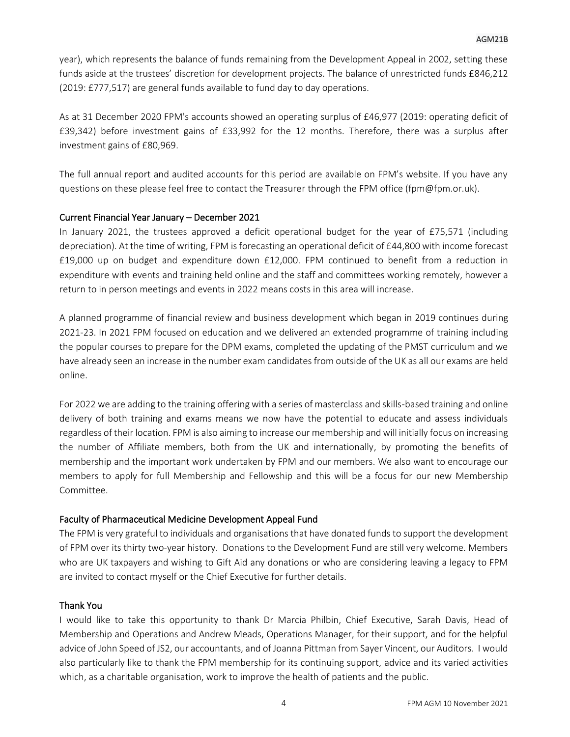year), which represents the balance of funds remaining from the Development Appeal in 2002, setting these funds aside at the trustees' discretion for development projects. The balance of unrestricted funds £846,212 (2019: £777,517) are general funds available to fund day to day operations.

As at 31 December 2020 FPM's accounts showed an operating surplus of £46,977 (2019: operating deficit of £39,342) before investment gains of £33,992 for the 12 months. Therefore, there was a surplus after investment gains of £80,969.

The full annual report and audited accounts for this period are available on FPM's website. If you have any questions on these please feel free to contact the Treasurer through the FPM office (fpm@fpm.or.uk).

#### Current Financial Year January – December 2021

In January 2021, the trustees approved a deficit operational budget for the year of £75,571 (including depreciation). At the time of writing, FPM is forecasting an operational deficit of £44,800 with income forecast £19,000 up on budget and expenditure down £12,000. FPM continued to benefit from a reduction in expenditure with events and training held online and the staff and committees working remotely, however a return to in person meetings and events in 2022 means costs in this area will increase.

A planned programme of financial review and business development which began in 2019 continues during 2021-23. In 2021 FPM focused on education and we delivered an extended programme of training including the popular courses to prepare for the DPM exams, completed the updating of the PMST curriculum and we have already seen an increase in the number exam candidates from outside of the UK as all our exams are held online.

For 2022 we are adding to the training offering with a series of masterclass and skills-based training and online delivery of both training and exams means we now have the potential to educate and assess individuals regardless of their location. FPM is also aiming to increase our membership and will initially focus on increasing the number of Affiliate members, both from the UK and internationally, by promoting the benefits of membership and the important work undertaken by FPM and our members. We also want to encourage our members to apply for full Membership and Fellowship and this will be a focus for our new Membership Committee.

#### Faculty of Pharmaceutical Medicine Development Appeal Fund

The FPM is very grateful to individuals and organisations that have donated funds to support the development of FPM over its thirty two-year history. Donations to the Development Fund are still very welcome. Members who are UK taxpayers and wishing to Gift Aid any donations or who are considering leaving a legacy to FPM are invited to contact myself or the Chief Executive for further details.

#### Thank You

I would like to take this opportunity to thank Dr Marcia Philbin, Chief Executive, Sarah Davis, Head of Membership and Operations and Andrew Meads, Operations Manager, for their support, and for the helpful advice of John Speed of JS2, our accountants, and of Joanna Pittman from Sayer Vincent, our Auditors. I would also particularly like to thank the FPM membership for its continuing support, advice and its varied activities which, as a charitable organisation, work to improve the health of patients and the public.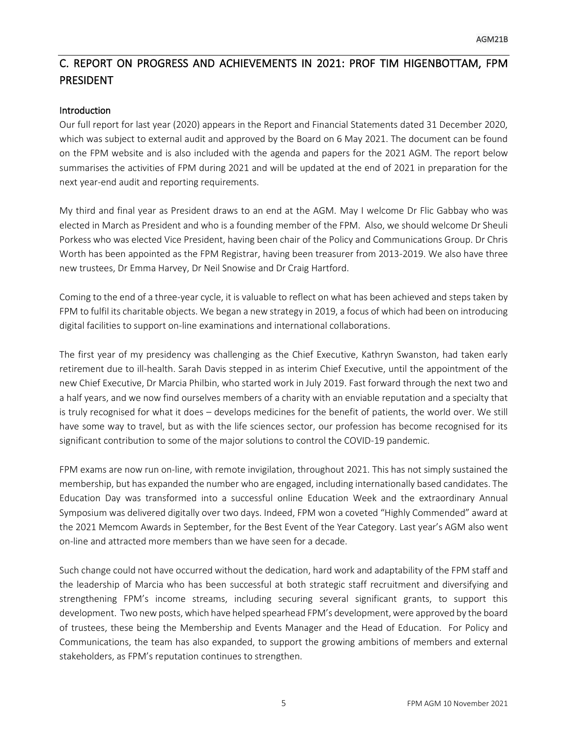# C. REPORT ON PROGRESS AND ACHIEVEMENTS IN 2021: PROF TIM HIGENBOTTAM, FPM PRESIDENT

#### Introduction

Our full report for last year (2020) appears in the Report and Financial Statements dated 31 December 2020, which was subject to external audit and approved by the Board on 6 May 2021. The document can be found on the FPM website and is also included with the agenda and papers for the 2021 AGM. The report below summarises the activities of FPM during 2021 and will be updated at the end of 2021 in preparation for the next year-end audit and reporting requirements.

My third and final year as President draws to an end at the AGM. May I welcome Dr Flic Gabbay who was elected in March as President and who is a founding member of the FPM. Also, we should welcome Dr Sheuli Porkess who was elected Vice President, having been chair of the Policy and Communications Group. Dr Chris Worth has been appointed as the FPM Registrar, having been treasurer from 2013-2019. We also have three new trustees, Dr Emma Harvey, Dr Neil Snowise and Dr Craig Hartford.

Coming to the end of a three-year cycle, it is valuable to reflect on what has been achieved and steps taken by FPM to fulfil its charitable objects. We began a new strategy in 2019, a focus of which had been on introducing digital facilities to support on-line examinations and international collaborations.

The first year of my presidency was challenging as the Chief Executive, Kathryn Swanston, had taken early retirement due to ill-health. Sarah Davis stepped in as interim Chief Executive, until the appointment of the new Chief Executive, Dr Marcia Philbin, who started work in July 2019. Fast forward through the next two and a half years, and we now find ourselves members of a charity with an enviable reputation and a specialty that is truly recognised for what it does – develops medicines for the benefit of patients, the world over. We still have some way to travel, but as with the life sciences sector, our profession has become recognised for its significant contribution to some of the major solutions to control the COVID-19 pandemic.

FPM exams are now run on-line, with remote invigilation, throughout 2021. This has not simply sustained the membership, but has expanded the number who are engaged, including internationally based candidates. The Education Day was transformed into a successful online Education Week and the extraordinary Annual Symposium was delivered digitally over two days. Indeed, FPM won a coveted "Highly Commended" award at the 2021 Memcom Awards in September, for the Best Event of the Year Category. Last year's AGM also went on-line and attracted more members than we have seen for a decade.

Such change could not have occurred without the dedication, hard work and adaptability of the FPM staff and the leadership of Marcia who has been successful at both strategic staff recruitment and diversifying and strengthening FPM's income streams, including securing several significant grants, to support this development. Two new posts, which have helped spearhead FPM's development, were approved by the board of trustees, these being the Membership and Events Manager and the Head of Education. For Policy and Communications, the team has also expanded, to support the growing ambitions of members and external stakeholders, as FPM's reputation continues to strengthen.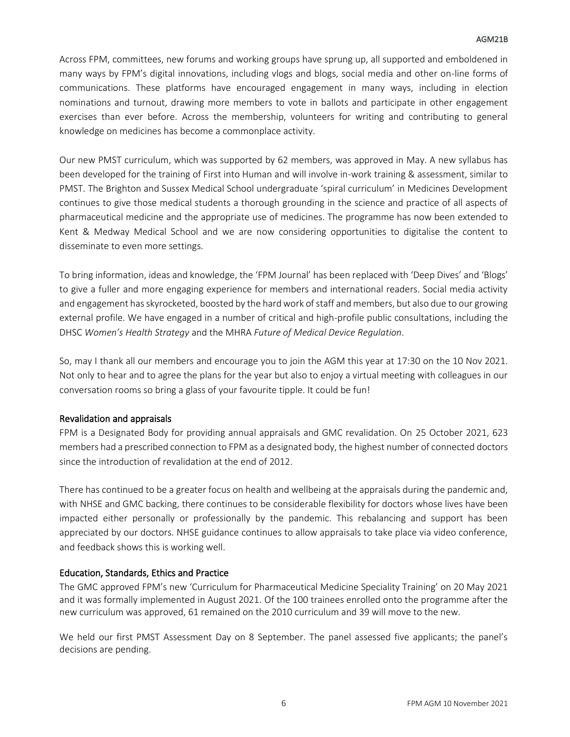#### AGM21B

Across FPM, committees, new forums and working groups have sprung up, all supported and emboldened in many ways by FPM's digital innovations, including vlogs and blogs, social media and other on-line forms of communications. These platforms have encouraged engagement in many ways, including in election nominations and turnout, drawing more members to vote in ballots and participate in other engagement exercises than ever before. Across the membership, volunteers for writing and contributing to general knowledge on medicines has become a commonplace activity.

Our new PMST curriculum, which was supported by 62 members, was approved in May. A new syllabus has been developed for the training of First into Human and will involve in-work training & assessment, similar to PMST. The Brighton and Sussex Medical School undergraduate 'spiral curriculum' in Medicines Development continues to give those medical students a thorough grounding in the science and practice of all aspects of pharmaceutical medicine and the appropriate use of medicines. The programme has now been extended to Kent & Medway Medical School and we are now considering opportunities to digitalise the content to disseminate to even more settings.

To bring information, ideas and knowledge, the 'FPM Journal' has been replaced with 'Deep Dives' and 'Blogs' to give a fuller and more engaging experience for members and international readers. Social media activity and engagement has skyrocketed, boosted by the hard work of staff and members, but also due to our growing external profile. We have engaged in a number of critical and high-profile public consultations, including the DHSC *Women's Health Strategy* and the MHRA *Future of Medical Device Regulation*.

So, may I thank all our members and encourage you to join the AGM this year at 17:30 on the 10 Nov 2021. Not only to hear and to agree the plans for the year but also to enjoy a virtual meeting with colleagues in our conversation rooms so bring a glass of your favourite tipple. It could be fun!

#### Revalidation and appraisals

FPM is a Designated Body for providing annual appraisals and GMC revalidation. On 25 October 2021, 623 members had a prescribed connection to FPM as a designated body, the highest number of connected doctors since the introduction of revalidation at the end of 2012.

There has continued to be a greater focus on health and wellbeing at the appraisals during the pandemic and, with NHSE and GMC backing, there continues to be considerable flexibility for doctors whose lives have been impacted either personally or professionally by the pandemic. This rebalancing and support has been appreciated by our doctors. NHSE guidance continues to allow appraisals to take place via video conference, and feedback shows this is working well.

#### Education, Standards, Ethics and Practice

The GMC approved FPM's new 'Curriculum for Pharmaceutical Medicine Speciality Training' on 20 May 2021 and it was formally implemented in August 2021. Of the 100 trainees enrolled onto the programme after the new curriculum was approved, 61 remained on the 2010 curriculum and 39 will move to the new.

We held our first PMST Assessment Day on 8 September. The panel assessed five applicants; the panel's decisions are pending.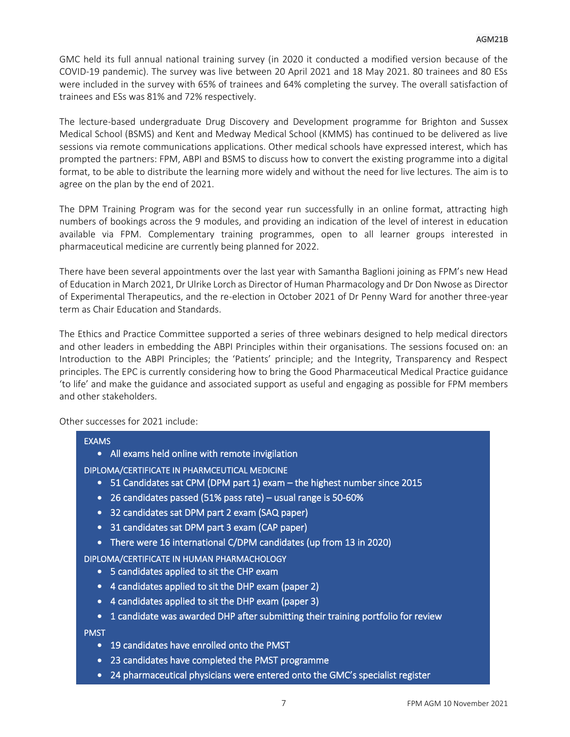GMC held its full annual national training survey (in 2020 it conducted a modified version because of the COVID-19 pandemic). The survey was live between 20 April 2021 and 18 May 2021. 80 trainees and 80 ESs were included in the survey with 65% of trainees and 64% completing the survey. The overall satisfaction of trainees and ESs was 81% and 72% respectively.

The lecture-based undergraduate Drug Discovery and Development programme for Brighton and Sussex Medical School (BSMS) and Kent and Medway Medical School (KMMS) has continued to be delivered as live sessions via remote communications applications. Other medical schools have expressed interest, which has prompted the partners: FPM, ABPI and BSMS to discuss how to convert the existing programme into a digital format, to be able to distribute the learning more widely and without the need for live lectures. The aim is to agree on the plan by the end of 2021.

The DPM Training Program was for the second year run successfully in an online format, attracting high numbers of bookings across the 9 modules, and providing an indication of the level of interest in education available via FPM. Complementary training programmes, open to all learner groups interested in pharmaceutical medicine are currently being planned for 2022.

There have been several appointments over the last year with Samantha Baglioni joining as FPM's new Head of Education in March 2021, Dr Ulrike Lorch as Director of Human Pharmacology and Dr Don Nwose as Director of Experimental Therapeutics, and the re-election in October 2021 of Dr Penny Ward for another three-year term as Chair Education and Standards.

The Ethics and Practice Committee supported a series of three webinars designed to help medical directors and other leaders in embedding the ABPI Principles within their organisations. The sessions focused on: an Introduction to the ABPI Principles; the 'Patients' principle; and the Integrity, Transparency and Respect principles. The EPC is currently considering how to bring the Good Pharmaceutical Medical Practice guidance 'to life' and make the guidance and associated support as useful and engaging as possible for FPM members and other stakeholders.

Other successes for 2021 include:

#### EXAMS

- All exams held online with remote invigilation
- DIPLOMA/CERTIFICATE IN PHARMCEUTICAL MEDICINE
	- 51 Candidates sat CPM (DPM part 1) exam the highest number since 2015
	- 26 candidates passed (51% pass rate) usual range is 50-60%
	- 32 candidates sat DPM part 2 exam (SAQ paper)
	- 31 candidates sat DPM part 3 exam (CAP paper)
	- There were 16 international C/DPM candidates (up from 13 in 2020)

#### DIPLOMA/CERTIFICATE IN HUMAN PHARMACHOLOGY

- 5 candidates applied to sit the CHP exam
- 4 candidates applied to sit the DHP exam (paper 2)
- 4 candidates applied to sit the DHP exam (paper 3)
- 1 candidate was awarded DHP after submitting their training portfolio for review

PMST

- 19 candidates have enrolled onto the PMST
- 23 candidates have completed the PMST programme
- 24 pharmaceutical physicians were entered onto the GMC's specialist register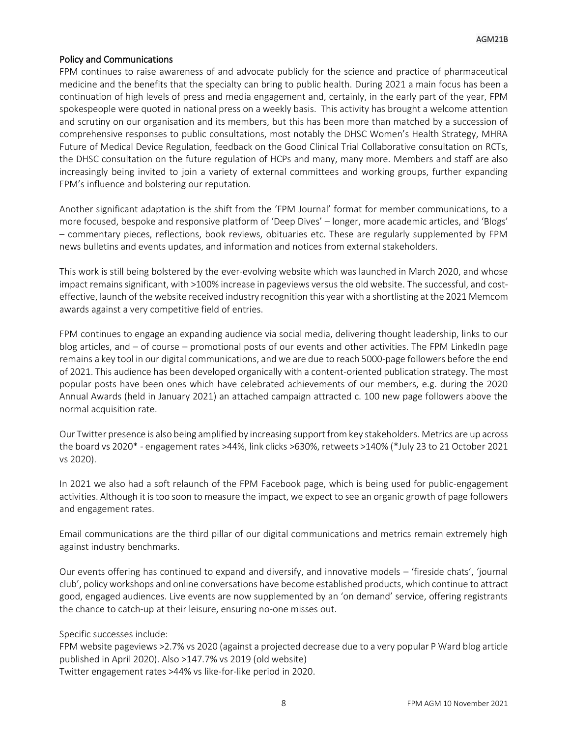#### Policy and Communications

FPM continues to raise awareness of and advocate publicly for the science and practice of pharmaceutical medicine and the benefits that the specialty can bring to public health. During 2021 a main focus has been a continuation of high levels of press and media engagement and, certainly, in the early part of the year, FPM spokespeople were quoted in national press on a weekly basis. This activity has brought a welcome attention and scrutiny on our organisation and its members, but this has been more than matched by a succession of comprehensive responses to public consultations, most notably the DHSC Women's Health Strategy, MHRA Future of Medical Device Regulation, feedback on the Good Clinical Trial Collaborative consultation on RCTs, the DHSC consultation on the future regulation of HCPs and many, many more. Members and staff are also increasingly being invited to join a variety of external committees and working groups, further expanding FPM's influence and bolstering our reputation.

Another significant adaptation is the shift from the 'FPM Journal' format for member communications, to a more focused, bespoke and responsive platform of 'Deep Dives' – longer, more academic articles, and 'Blogs' – commentary pieces, reflections, book reviews, obituaries etc. These are regularly supplemented by FPM news bulletins and events updates, and information and notices from external stakeholders.

This work is still being bolstered by the ever-evolving website which was launched in March 2020, and whose impact remains significant, with >100% increase in pageviews versus the old website. The successful, and costeffective, launch of the website received industry recognition this year with a shortlisting at the 2021 Memcom awards against a very competitive field of entries.

FPM continues to engage an expanding audience via social media, delivering thought leadership, links to our blog articles, and – of course – promotional posts of our events and other activities. The FPM LinkedIn page remains a key tool in our digital communications, and we are due to reach 5000-page followers before the end of 2021. This audience has been developed organically with a content-oriented publication strategy. The most popular posts have been ones which have celebrated achievements of our members, e.g. during the 2020 Annual Awards (held in January 2021) an attached campaign attracted c. 100 new page followers above the normal acquisition rate.

Our Twitter presence is also being amplified by increasing support from key stakeholders. Metrics are up across the board vs 2020\* - engagement rates >44%, link clicks >630%, retweets >140% (\*July 23 to 21 October 2021 vs 2020).

In 2021 we also had a soft relaunch of the FPM Facebook page, which is being used for public-engagement activities. Although it is too soon to measure the impact, we expect to see an organic growth of page followers and engagement rates.

Email communications are the third pillar of our digital communications and metrics remain extremely high against industry benchmarks.

Our events offering has continued to expand and diversify, and innovative models – 'fireside chats', 'journal club', policy workshops and online conversations have become established products, which continue to attract good, engaged audiences. Live events are now supplemented by an 'on demand' service, offering registrants the chance to catch-up at their leisure, ensuring no-one misses out.

Specific successes include:

FPM website pageviews >2.7% vs 2020 (against a projected decrease due to a very popular P Ward blog article published in April 2020). Also >147.7% vs 2019 (old website) Twitter engagement rates >44% vs like-for-like period in 2020.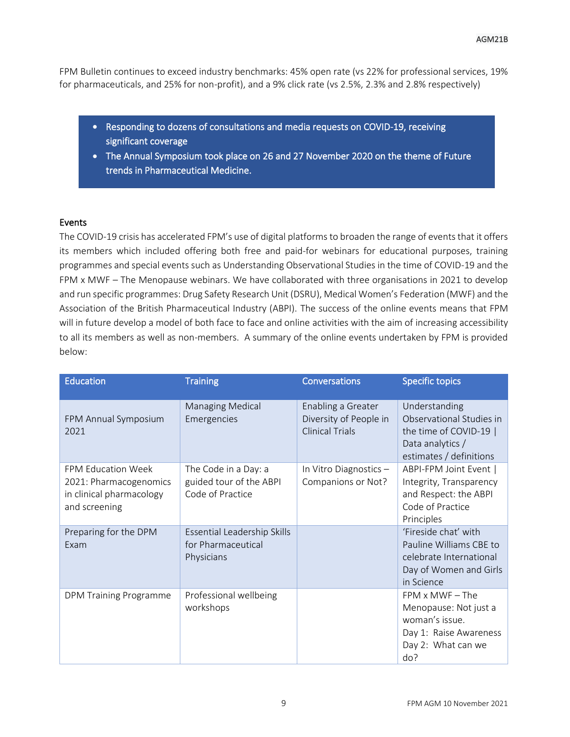FPM Bulletin continues to exceed industry benchmarks: 45% open rate (vs 22% for professional services, 19% for pharmaceuticals, and 25% for non-profit), and a 9% click rate (vs 2.5%, 2.3% and 2.8% respectively)

- Responding to dozens of consultations and media requests on COVID-19, receiving significant coverage
- The Annual Symposium took place on 26 and 27 November 2020 on the theme of Future trends in Pharmaceutical Medicine.

#### Events

The COVID-19 crisis has accelerated FPM's use of digital platforms to broaden the range of events that it offers its members which included offering both free and paid-for webinars for educational purposes, training programmes and special events such as Understanding Observational Studies in the time of COVID-19 and the FPM x MWF – The Menopause webinars. We have collaborated with three organisations in 2021 to develop and run specific programmes: Drug Safety Research Unit (DSRU), Medical Women's Federation (MWF) and the Association of the British Pharmaceutical Industry (ABPI). The success of the online events means that FPM will in future develop a model of both face to face and online activities with the aim of increasing accessibility to all its members as well as non-members. A summary of the online events undertaken by FPM is provided below:

| <b>Education</b>                                                                                 | <b>Training</b>                                                     | <b>Conversations</b>                                                   | <b>Specific topics</b>                                                                                                   |
|--------------------------------------------------------------------------------------------------|---------------------------------------------------------------------|------------------------------------------------------------------------|--------------------------------------------------------------------------------------------------------------------------|
| FPM Annual Symposium<br>2021                                                                     | <b>Managing Medical</b><br>Emergencies                              | Enabling a Greater<br>Diversity of People in<br><b>Clinical Trials</b> | Understanding<br>Observational Studies in<br>the time of COVID-19  <br>Data analytics /<br>estimates / definitions       |
| <b>FPM Education Week</b><br>2021: Pharmacogenomics<br>in clinical pharmacology<br>and screening | The Code in a Day: a<br>guided tour of the ABPI<br>Code of Practice | In Vitro Diagnostics -<br>Companions or Not?                           | ABPI-FPM Joint Event  <br>Integrity, Transparency<br>and Respect: the ABPI<br>Code of Practice<br>Principles             |
| Preparing for the DPM<br>Exam                                                                    | Essential Leadership Skills<br>for Pharmaceutical<br>Physicians     |                                                                        | 'Fireside chat' with<br>Pauline Williams CBE to<br>celebrate International<br>Day of Women and Girls<br>in Science       |
| <b>DPM Training Programme</b>                                                                    | Professional wellbeing<br>workshops                                 |                                                                        | $FPM \times MWF - The$<br>Menopause: Not just a<br>woman's issue.<br>Day 1: Raise Awareness<br>Day 2: What can we<br>do? |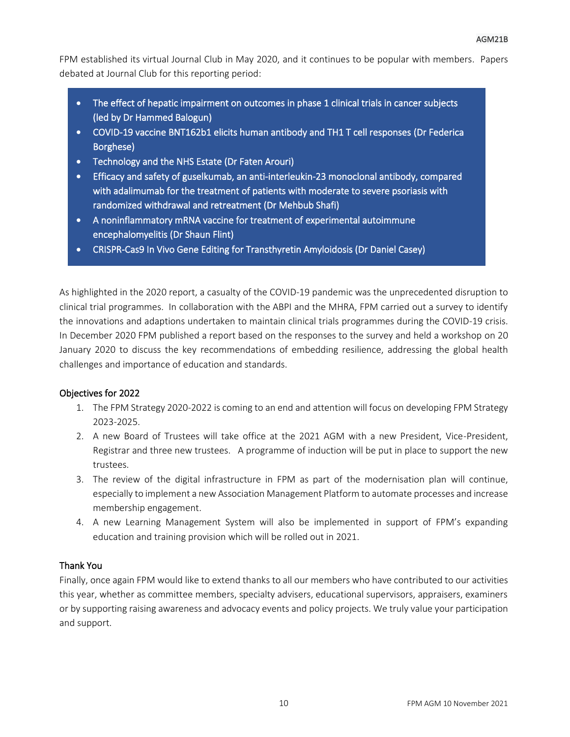FPM established its virtual Journal Club in May 2020, and it continues to be popular with members. Papers debated at Journal Club for this reporting period:

- The effect of hepatic impairment on outcomes in phase 1 clinical trials in cancer subjects (led by Dr Hammed Balogun)
- COVID-19 vaccine BNT162b1 elicits human antibody and TH1 T cell responses (Dr Federica Borghese)
- Technology and the NHS Estate (Dr Faten Arouri)
- Efficacy and safety of guselkumab, an anti-interleukin-23 monoclonal antibody, compared with adalimumab for the treatment of patients with moderate to severe psoriasis with randomized withdrawal and retreatment (Dr Mehbub Shafi)
- A noninflammatory mRNA vaccine for treatment of experimental autoimmune encephalomyelitis (Dr Shaun Flint)
- CRISPR-Cas9 In Vivo Gene Editing for Transthyretin Amyloidosis (Dr Daniel Casey)

As highlighted in the 2020 report, a casualty of the COVID-19 pandemic was the unprecedented disruption to clinical trial programmes. In collaboration with the ABPI and the MHRA, FPM carried out a survey to identify the innovations and adaptions undertaken to maintain clinical trials programmes during the COVID-19 crisis. In December 2020 FPM published a report based on the responses to the survey and held a workshop on 20 January 2020 to discuss the key recommendations of embedding resilience, addressing the global health challenges and importance of education and standards.

#### Objectives for 2022

- 1. The FPM Strategy 2020-2022 is coming to an end and attention will focus on developing FPM Strategy 2023-2025.
- 2. A new Board of Trustees will take office at the 2021 AGM with a new President, Vice-President, Registrar and three new trustees. A programme of induction will be put in place to support the new trustees.
- 3. The review of the digital infrastructure in FPM as part of the modernisation plan will continue, especially to implement a new Association Management Platform to automate processes and increase membership engagement.
- 4. A new Learning Management System will also be implemented in support of FPM's expanding education and training provision which will be rolled out in 2021.

#### Thank You

Finally, once again FPM would like to extend thanks to all our members who have contributed to our activities this year, whether as committee members, specialty advisers, educational supervisors, appraisers, examiners or by supporting raising awareness and advocacy events and policy projects. We truly value your participation and support.